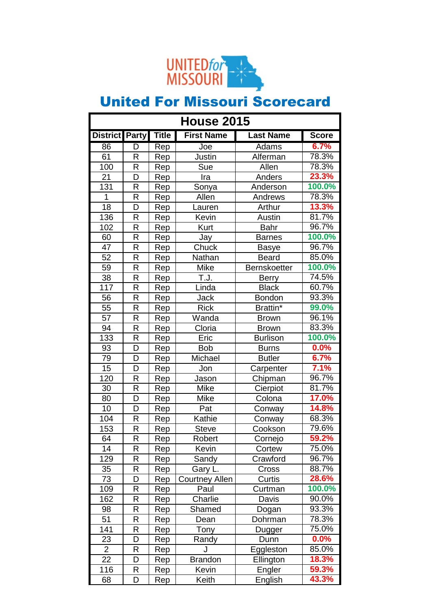

| <b>House 2015</b> |                         |       |                       |                     |              |
|-------------------|-------------------------|-------|-----------------------|---------------------|--------------|
| District Party    |                         | Title | <b>First Name</b>     | <b>Last Name</b>    | <b>Score</b> |
| 86                | $\overline{\mathsf{D}}$ | Rep   | Joe                   | <b>Adams</b>        | 6.7%         |
| 61                | R                       | Rep   | Justin                | Alferman            | 78.3%        |
| 100               | R                       | Rep   | Sue                   | Allen               | 78.3%        |
| 21                | D                       | Rep   | Ira                   | Anders              | 23.3%        |
| 131               | R                       | Rep   | Sonya                 | Anderson            | 100.0%       |
| 1                 | R                       | Rep   | Allen                 | Andrews             | 78.3%        |
| 18                | D                       | Rep   | Lauren                | Arthur              | 13.3%        |
| 136               | R                       | Rep   | Kevin                 | Austin              | 81.7%        |
| 102               | R                       | Rep   | Kurt                  | <b>Bahr</b>         | 96.7%        |
| 60                | R                       | Rep   | Jay                   | <b>Barnes</b>       | 100.0%       |
| 47                | R                       | Rep   | Chuck                 | <b>Basye</b>        | 96.7%        |
| 52                | R                       | Rep   | Nathan                | <b>Beard</b>        | 85.0%        |
| 59                | R                       | Rep   | Mike                  | <b>Bernskoetter</b> | 100.0%       |
| 38                | R                       | Rep   | T.J.                  | <b>Berry</b>        | 74.5%        |
| 117               | R                       | Rep   | Linda                 | <b>Black</b>        | 60.7%        |
| 56                | R                       | Rep   | <b>Jack</b>           | <b>Bondon</b>       | 93.3%        |
| 55                | R                       | Rep   | <b>Rick</b>           | Brattin*            | 99.0%        |
| 57                | R                       | Rep   | Wanda                 | <b>Brown</b>        | 96.1%        |
| 94                | R                       | Rep   | Cloria                | <b>Brown</b>        | 83.3%        |
| 133               | R                       | Rep   | Eric                  | <b>Burlison</b>     | 100.0%       |
| 93                | D                       | Rep   | <b>Bob</b>            | <b>Burns</b>        | 0.0%         |
| 79                | D                       | Rep   | Michael               | <b>Butler</b>       | 6.7%         |
| 15                | D                       | Rep   | Jon                   | Carpenter           | 7.1%         |
| 120               | R                       | Rep   | Jason                 | Chipman             | 96.7%        |
| 30                | R                       | Rep   | Mike                  | Cierpiot            | 81.7%        |
| 80                | D                       | Rep   | Mike                  | Colona              | 17.0%        |
| 10                | D                       | Rep   | Pat                   | Conway              | 14.8%        |
| 104               | R                       | Rep   | Kathie                | Conway              | 68.3%        |
| 153               | R                       | Rep   | <b>Steve</b>          | Cookson             | 79.6%        |
| 64                | R                       | Rep   | Robert                | Cornejo             | 59.2%        |
| 14                | R                       | Rep   | Kevin                 | Cortew              | 75.0%        |
| 129               | R                       | Rep   | Sandy                 | Crawford            | 96.7%        |
| 35                | R                       | Rep   | Gary L.               | Cross               | 88.7%        |
| 73                | D                       | Rep   | <b>Courtney Allen</b> | Curtis              | 28.6%        |
| 109               | R                       | Rep   | Paul                  | Curtman             | 100.0%       |
| 162               | R                       | Rep   | Charlie               | Davis               | 90.0%        |
| 98                | R                       | Rep   | Shamed                | Dogan               | 93.3%        |
| 51                | R                       | Rep   | Dean                  | Dohrman             | 78.3%        |
| 141               | R                       | Rep   | Tony                  | Dugger              | 75.0%        |
| 23                | D                       | Rep   | Randy                 | Dunn                | 0.0%         |
| $\overline{2}$    | R                       | Rep   | J                     | Eggleston           | 85.0%        |
| 22                | D                       | Rep   | <b>Brandon</b>        | Ellington           | 18.3%        |
| 116               | R                       | Rep   | Kevin                 | Engler              | 59.3%        |
| 68                | D                       | Rep   | Keith                 | English             | 43.3%        |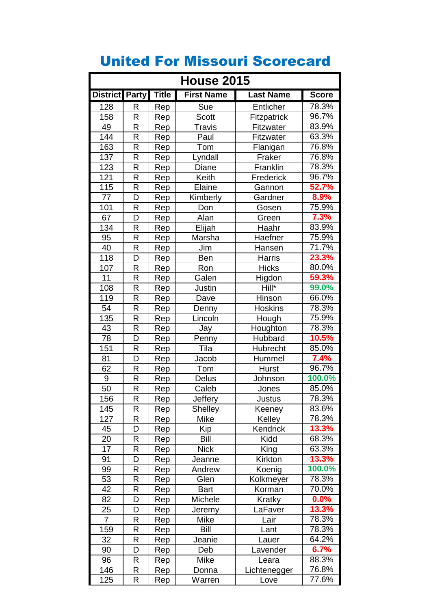| <b>House 2015</b> |   |              |                   |                    |              |
|-------------------|---|--------------|-------------------|--------------------|--------------|
| District Party    |   | <b>Title</b> | <b>First Name</b> | <b>Last Name</b>   | <b>Score</b> |
| 128               | R | Rep          | Sue               | Entlicher          | 78.3%        |
| 158               | R | Rep          | <b>Scott</b>      | <b>Fitzpatrick</b> | 96.7%        |
| 49                | R | Rep          | <b>Travis</b>     | Fitzwater          | 83.9%        |
| 144               | R | Rep          | Paul              | Fitzwater          | 63.3%        |
| 163               | R | Rep          | Tom               | Flanigan           | 76.8%        |
| 137               | R | Rep          | Lyndall           | Fraker             | 76.8%        |
| 123               | R | Rep          | Diane             | Franklin           | 78.3%        |
| 121               | R | Rep          | Keith             | Frederick          | 96.7%        |
| 115               | R | Rep          | Elaine            | Gannon             | 52.7%        |
| 77                | D | Rep          | Kimberly          | Gardner            | 8.9%         |
| 101               | R | Rep          | Don               | Gosen              | 75.9%        |
| 67                | D | Rep          | Alan              | Green              | 7.3%         |
| 134               | R | Rep          | Elijah            | Haahr              | 83.9%        |
| 95                | R | Rep          | Marsha            | Haefner            | 75.9%        |
| 40                | R | Rep          | Jim               | Hansen             | 71.7%        |
| 118               | D | Rep          | Ben               | <b>Harris</b>      | 23.3%        |
| 107               | R | Rep          | Ron               | <b>Hicks</b>       | 80.0%        |
| 11                | R | Rep          | Galen             | Higdon             | 59.3%        |
| 108               | R | Rep          | Justin            | Hill*              | 99.0%        |
| 119               | R | Rep          | Dave              | Hinson             | 66.0%        |
| 54                | R | Rep          | Denny             | <b>Hoskins</b>     | 78.3%        |
| 135               | R | Rep          | Lincoln           | Hough              | 75.9%        |
| 43                | R | Rep          | Jay               | Houghton           | 78.3%        |
| 78                | D | Rep          | Penny             | Hubbard            | 10.5%        |
| 151               | R | Rep          | Tila              | Hubrecht           | 85.0%        |
| 81                | D | Rep          | Jacob             | Hummel             | 7.4%         |
| 62                | R | Rep          | Tom               | <b>Hurst</b>       | 96.7%        |
| 9                 | R | Rep          | <b>Delus</b>      | Johnson            | 100.0%       |
| 50                | R | Rep          | Caleb             | Jones              | 85.0%        |
| 156               | R | Rep          | Jeffery           | Justus             | 78.3%        |
| 145               | R | Rep          | <b>Shelley</b>    | Keeney             | 83.6%        |
| 127               | R | Rep          | Mike              | Kelley             | 78.3%        |
| 45                | D | Rep          | Kip               | Kendrick           | 13.3%        |
| 20                | R | Rep          | <b>Bill</b>       | Kidd               | 68.3%        |
| 17                | R | Rep          | <b>Nick</b>       | King               | 63.3%        |
| 91                | D | Rep          | Jeanne            | Kirkton            | 13.3%        |
| 99                | R | Rep          | Andrew            | Koenig             | 100.0%       |
| 53                | R | Rep          | Glen              | Kolkmeyer          | 78.3%        |
| 42                | R | Rep          | <b>Bart</b>       | Korman             | 70.0%        |
| 82                | D | Rep          | Michele           | Kratky             | 0.0%         |
| 25                | D | Rep          | Jeremy            | LaFaver            | 13.3%        |
| $\overline{7}$    | R | Rep          | Mike              | Lair               | 78.3%        |
| 159               | R | Rep          | <b>Bill</b>       | Lant               | 78.3%        |
| 32                | R | Rep          | Jeanie            | Lauer              | 64.2%        |
| 90                | D | Rep          | Deb               | Lavender           | 6.7%         |
| 96                | R | Rep          | Mike              | Leara              | 88.3%        |
| 146               | R | Rep          | Donna             | Lichtenegger       | 76.8%        |
| 125               | R | Rep          | Warren            | Love               | 77.6%        |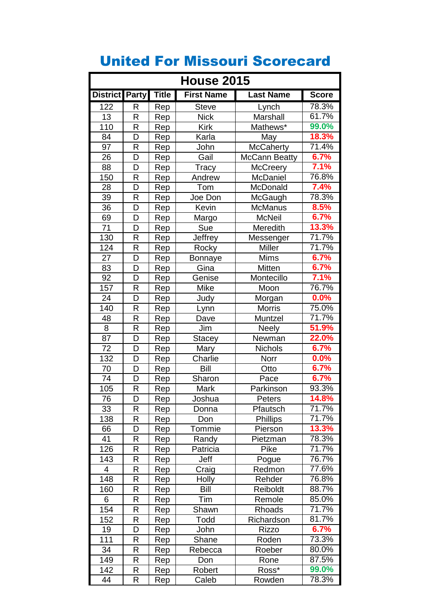| <b>House 2015</b> |   |              |                   |                  |              |
|-------------------|---|--------------|-------------------|------------------|--------------|
| District Party    |   | <b>Title</b> | <b>First Name</b> | <b>Last Name</b> | <b>Score</b> |
| 122               | R | Rep          | <b>Steve</b>      | Lynch            | 78.3%        |
| 13                | R | Rep          | <b>Nick</b>       | Marshall         | 61.7%        |
| 110               | R | Rep          | <b>Kirk</b>       | Mathews*         | 99.0%        |
| 84                | D | Rep          | Karla             | May              | 18.3%        |
| 97                | R | Rep          | John              | <b>McCaherty</b> | 71.4%        |
| 26                | D | Rep          | Gail              | McCann Beatty    | 6.7%         |
| 88                | D | Rep          | Tracy             | <b>McCreery</b>  | 7.1%         |
| 150               | R | Rep          | Andrew            | McDaniel         | 76.8%        |
| 28                | D | Rep          | Tom               | McDonald         | 7.4%         |
| $\overline{39}$   | R | Rep          | Joe Don           | McGaugh          | 78.3%        |
| 36                | D | Rep          | Kevin             | McManus          | 8.5%         |
| 69                | D | Rep          | Margo             | <b>McNeil</b>    | 6.7%         |
| $\overline{71}$   | D | Rep          | Sue               | Meredith         | 13.3%        |
| 130               | R | Rep          | Jeffrey           | Messenger        | 71.7%        |
| 124               | R | Rep          | Rocky             | <b>Miller</b>    | 71.7%        |
| 27                | D | Rep          | <b>Bonnaye</b>    | <b>Mims</b>      | 6.7%         |
| 83                | D | Rep          | Gina              | Mitten           | 6.7%         |
| 92                | D | Rep          | Genise            | Montecillo       | 7.1%         |
| 157               | R | Rep          | Mike              | Moon             | 76.7%        |
| 24                | D | Rep          | Judy              | Morgan           | 0.0%         |
| 140               | R | Rep          | Lynn              | <b>Morris</b>    | 75.0%        |
| 48                | R | Rep          | Dave              | Muntzel          | 71.7%        |
| $\bf 8$           | R | Rep          | Jim               | <b>Neely</b>     | 51.9%        |
| 87                | D | Rep          | <b>Stacey</b>     | Newman           | 22.0%        |
| 72                | D | Rep          | Mary              | <b>Nichols</b>   | 6.7%         |
| 132               | D | Rep          | Charlie           | Norr             | 0.0%         |
| 70                | D | Rep          | <b>Bill</b>       | Otto             | 6.7%         |
| $\overline{74}$   | D | Rep          | Sharon            | Pace             | 6.7%         |
| 105               | R | Rep          | Mark              | Parkinson        | 93.3%        |
| 76                | D | Rep          | Joshua            | Peters           | 14.8%        |
| 33                | R | Rep          | Donna             | Pfautsch         | 71.7%        |
| 138               | R | Rep          | Don               | <b>Phillips</b>  | 71.7%        |
| 66                | D | Rep          | Tommie            | Pierson          | 13.3%        |
| 41                | R | Rep          | Randy             | Pietzman         | 78.3%        |
| 126               | R | Rep          | Patricia          | Pike             | 71.7%        |
| 143               | R | Rep          | Jeff              | Pogue            | 76.7%        |
| 4                 | R | Rep          | Craig             | Redmon           | 77.6%        |
| 148               | R | Rep          | Holly             | Rehder           | 76.8%        |
| 160               | R | Rep          | <b>Bill</b>       | Reiboldt         | 88.7%        |
| 6                 | R | Rep          | Tim               | Remole           | 85.0%        |
| 154               | R | Rep          | Shawn             | Rhoads           | 71.7%        |
| 152               | R | Rep          | Todd              | Richardson       | 81.7%        |
| 19                | D | Rep          | John              | <b>Rizzo</b>     | 6.7%         |
| 111               | R | Rep          | Shane             | Roden            | 73.3%        |
| 34                | R | Rep          | Rebecca           | Roeber           | 80.0%        |
| 149               | R | Rep          | Don               | Rone             | 87.5%        |
| 142               | R | Rep          | Robert            | Ross*            | 99.0%        |
| 44                | R | Rep          | Caleb             | Rowden           | 78.3%        |